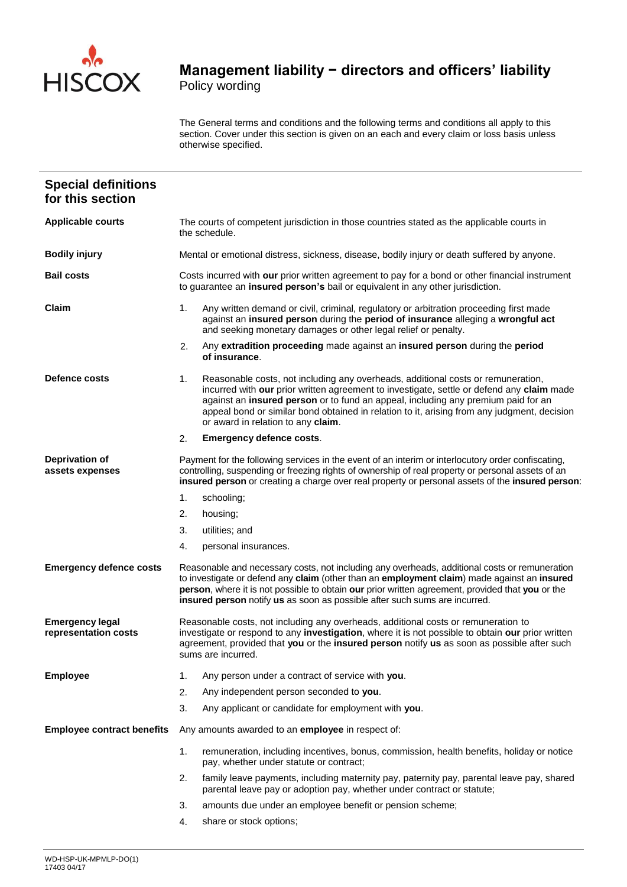

The General terms and conditions and the following terms and conditions all apply to this section. Cover under this section is given on an each and every claim or loss basis unless otherwise specified.

| <b>Special definitions</b><br>for this section |                                                                                                                                                                                                                                                                                                                                                                                                               |  |  |  |  |
|------------------------------------------------|---------------------------------------------------------------------------------------------------------------------------------------------------------------------------------------------------------------------------------------------------------------------------------------------------------------------------------------------------------------------------------------------------------------|--|--|--|--|
| <b>Applicable courts</b>                       | The courts of competent jurisdiction in those countries stated as the applicable courts in<br>the schedule.                                                                                                                                                                                                                                                                                                   |  |  |  |  |
| <b>Bodily injury</b>                           | Mental or emotional distress, sickness, disease, bodily injury or death suffered by anyone.                                                                                                                                                                                                                                                                                                                   |  |  |  |  |
| <b>Bail costs</b>                              | Costs incurred with our prior written agreement to pay for a bond or other financial instrument<br>to guarantee an insured person's bail or equivalent in any other jurisdiction.                                                                                                                                                                                                                             |  |  |  |  |
| Claim                                          | Any written demand or civil, criminal, regulatory or arbitration proceeding first made<br>1.<br>against an insured person during the period of insurance alleging a wrongful act<br>and seeking monetary damages or other legal relief or penalty.                                                                                                                                                            |  |  |  |  |
|                                                | 2.<br>Any extradition proceeding made against an insured person during the period<br>of insurance.                                                                                                                                                                                                                                                                                                            |  |  |  |  |
| Defence costs                                  | 1.<br>Reasonable costs, not including any overheads, additional costs or remuneration,<br>incurred with our prior written agreement to investigate, settle or defend any claim made<br>against an insured person or to fund an appeal, including any premium paid for an<br>appeal bond or similar bond obtained in relation to it, arising from any judgment, decision<br>or award in relation to any claim. |  |  |  |  |
|                                                | 2.<br><b>Emergency defence costs.</b>                                                                                                                                                                                                                                                                                                                                                                         |  |  |  |  |
| <b>Deprivation of</b><br>assets expenses       | Payment for the following services in the event of an interim or interlocutory order confiscating,<br>controlling, suspending or freezing rights of ownership of real property or personal assets of an<br>insured person or creating a charge over real property or personal assets of the insured person:                                                                                                   |  |  |  |  |
|                                                | 1.<br>schooling;                                                                                                                                                                                                                                                                                                                                                                                              |  |  |  |  |
|                                                | 2.<br>housing;                                                                                                                                                                                                                                                                                                                                                                                                |  |  |  |  |
|                                                | 3.<br>utilities; and                                                                                                                                                                                                                                                                                                                                                                                          |  |  |  |  |
|                                                | personal insurances.<br>4.                                                                                                                                                                                                                                                                                                                                                                                    |  |  |  |  |
| <b>Emergency defence costs</b>                 | Reasonable and necessary costs, not including any overheads, additional costs or remuneration<br>to investigate or defend any claim (other than an employment claim) made against an insured<br>person, where it is not possible to obtain our prior written agreement, provided that you or the<br>insured person notify us as soon as possible after such sums are incurred.                                |  |  |  |  |
| <b>Emergency legal</b><br>representation costs | Reasonable costs, not including any overheads, additional costs or remuneration to<br>investigate or respond to any investigation, where it is not possible to obtain our prior written<br>agreement, provided that you or the insured person notify us as soon as possible after such<br>sums are incurred.                                                                                                  |  |  |  |  |
| <b>Employee</b>                                | Any person under a contract of service with you.<br>1.                                                                                                                                                                                                                                                                                                                                                        |  |  |  |  |
|                                                | 2.<br>Any independent person seconded to you.                                                                                                                                                                                                                                                                                                                                                                 |  |  |  |  |
|                                                | 3.<br>Any applicant or candidate for employment with you.                                                                                                                                                                                                                                                                                                                                                     |  |  |  |  |
| <b>Employee contract benefits</b>              | Any amounts awarded to an employee in respect of:                                                                                                                                                                                                                                                                                                                                                             |  |  |  |  |
|                                                | 1.<br>remuneration, including incentives, bonus, commission, health benefits, holiday or notice<br>pay, whether under statute or contract;                                                                                                                                                                                                                                                                    |  |  |  |  |
|                                                | 2.<br>family leave payments, including maternity pay, paternity pay, parental leave pay, shared<br>parental leave pay or adoption pay, whether under contract or statute;                                                                                                                                                                                                                                     |  |  |  |  |
|                                                | 3.<br>amounts due under an employee benefit or pension scheme;                                                                                                                                                                                                                                                                                                                                                |  |  |  |  |
|                                                | 4.<br>share or stock options;                                                                                                                                                                                                                                                                                                                                                                                 |  |  |  |  |
|                                                |                                                                                                                                                                                                                                                                                                                                                                                                               |  |  |  |  |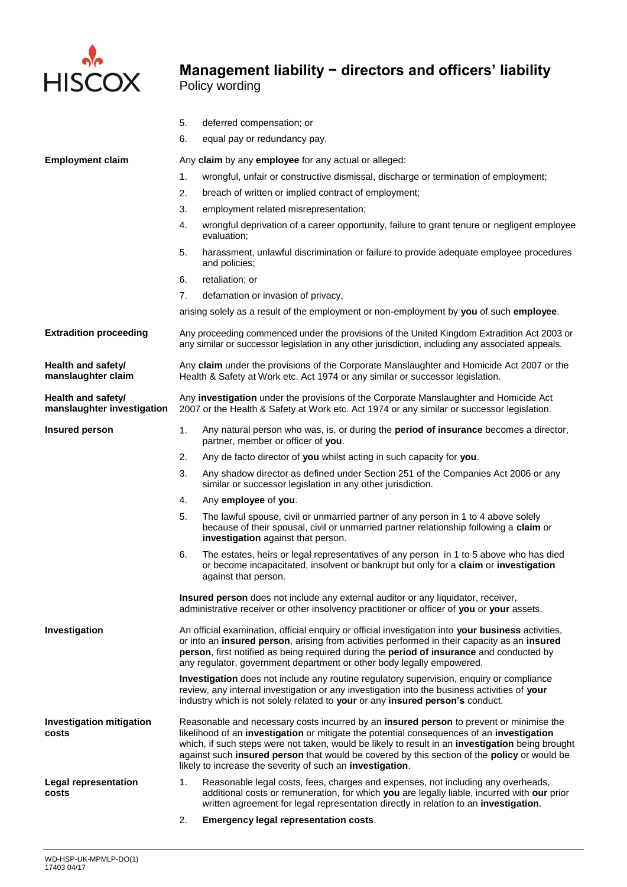

|                                                  | 5.                                                                                                                                                                                                                                                                                                                                                                                                                                                   | deferred compensation; or                                                                                                                                                                                                                                                                                                                                               |  |  |  |  |
|--------------------------------------------------|------------------------------------------------------------------------------------------------------------------------------------------------------------------------------------------------------------------------------------------------------------------------------------------------------------------------------------------------------------------------------------------------------------------------------------------------------|-------------------------------------------------------------------------------------------------------------------------------------------------------------------------------------------------------------------------------------------------------------------------------------------------------------------------------------------------------------------------|--|--|--|--|
|                                                  | 6.                                                                                                                                                                                                                                                                                                                                                                                                                                                   | equal pay or redundancy pay.                                                                                                                                                                                                                                                                                                                                            |  |  |  |  |
| <b>Employment claim</b>                          | Any claim by any employee for any actual or alleged:                                                                                                                                                                                                                                                                                                                                                                                                 |                                                                                                                                                                                                                                                                                                                                                                         |  |  |  |  |
|                                                  | 1.                                                                                                                                                                                                                                                                                                                                                                                                                                                   | wrongful, unfair or constructive dismissal, discharge or termination of employment;                                                                                                                                                                                                                                                                                     |  |  |  |  |
|                                                  | 2.                                                                                                                                                                                                                                                                                                                                                                                                                                                   | breach of written or implied contract of employment;                                                                                                                                                                                                                                                                                                                    |  |  |  |  |
|                                                  | 3.                                                                                                                                                                                                                                                                                                                                                                                                                                                   | employment related misrepresentation;                                                                                                                                                                                                                                                                                                                                   |  |  |  |  |
|                                                  | 4.                                                                                                                                                                                                                                                                                                                                                                                                                                                   | wrongful deprivation of a career opportunity, failure to grant tenure or negligent employee<br>evaluation;                                                                                                                                                                                                                                                              |  |  |  |  |
|                                                  | 5.                                                                                                                                                                                                                                                                                                                                                                                                                                                   | harassment, unlawful discrimination or failure to provide adequate employee procedures<br>and policies;                                                                                                                                                                                                                                                                 |  |  |  |  |
|                                                  | 6.                                                                                                                                                                                                                                                                                                                                                                                                                                                   | retaliation; or                                                                                                                                                                                                                                                                                                                                                         |  |  |  |  |
|                                                  | 7.                                                                                                                                                                                                                                                                                                                                                                                                                                                   | defamation or invasion of privacy,                                                                                                                                                                                                                                                                                                                                      |  |  |  |  |
|                                                  |                                                                                                                                                                                                                                                                                                                                                                                                                                                      | arising solely as a result of the employment or non-employment by you of such employee.                                                                                                                                                                                                                                                                                 |  |  |  |  |
| <b>Extradition proceeding</b>                    |                                                                                                                                                                                                                                                                                                                                                                                                                                                      | Any proceeding commenced under the provisions of the United Kingdom Extradition Act 2003 or<br>any similar or successor legislation in any other jurisdiction, including any associated appeals.                                                                                                                                                                        |  |  |  |  |
| Health and safety/<br>manslaughter claim         | Any claim under the provisions of the Corporate Manslaughter and Homicide Act 2007 or the<br>Health & Safety at Work etc. Act 1974 or any similar or successor legislation.                                                                                                                                                                                                                                                                          |                                                                                                                                                                                                                                                                                                                                                                         |  |  |  |  |
| Health and safety/<br>manslaughter investigation | Any investigation under the provisions of the Corporate Manslaughter and Homicide Act<br>2007 or the Health & Safety at Work etc. Act 1974 or any similar or successor legislation.                                                                                                                                                                                                                                                                  |                                                                                                                                                                                                                                                                                                                                                                         |  |  |  |  |
| <b>Insured person</b>                            | 1.                                                                                                                                                                                                                                                                                                                                                                                                                                                   | Any natural person who was, is, or during the period of insurance becomes a director,<br>partner, member or officer of you.                                                                                                                                                                                                                                             |  |  |  |  |
|                                                  | 2.                                                                                                                                                                                                                                                                                                                                                                                                                                                   | Any de facto director of you whilst acting in such capacity for you.                                                                                                                                                                                                                                                                                                    |  |  |  |  |
|                                                  | 3.                                                                                                                                                                                                                                                                                                                                                                                                                                                   | Any shadow director as defined under Section 251 of the Companies Act 2006 or any<br>similar or successor legislation in any other jurisdiction.                                                                                                                                                                                                                        |  |  |  |  |
|                                                  | 4.                                                                                                                                                                                                                                                                                                                                                                                                                                                   | Any employee of you.                                                                                                                                                                                                                                                                                                                                                    |  |  |  |  |
|                                                  | 5.                                                                                                                                                                                                                                                                                                                                                                                                                                                   | The lawful spouse, civil or unmarried partner of any person in 1 to 4 above solely<br>because of their spousal, civil or unmarried partner relationship following a claim or<br>investigation against that person.                                                                                                                                                      |  |  |  |  |
|                                                  | 6.                                                                                                                                                                                                                                                                                                                                                                                                                                                   | The estates, heirs or legal representatives of any person in 1 to 5 above who has died<br>or become incapacitated, insolvent or bankrupt but only for a claim or investigation<br>against that person.                                                                                                                                                                  |  |  |  |  |
|                                                  |                                                                                                                                                                                                                                                                                                                                                                                                                                                      | Insured person does not include any external auditor or any liquidator, receiver,<br>administrative receiver or other insolvency practitioner or officer of you or your assets.                                                                                                                                                                                         |  |  |  |  |
| Investigation                                    |                                                                                                                                                                                                                                                                                                                                                                                                                                                      | An official examination, official enquiry or official investigation into your business activities,<br>or into an insured person, arising from activities performed in their capacity as an insured<br>person, first notified as being required during the period of insurance and conducted by<br>any regulator, government department or other body legally empowered. |  |  |  |  |
|                                                  |                                                                                                                                                                                                                                                                                                                                                                                                                                                      | <b>Investigation</b> does not include any routine regulatory supervision, enquiry or compliance<br>review, any internal investigation or any investigation into the business activities of your<br>industry which is not solely related to your or any insured person's conduct.                                                                                        |  |  |  |  |
| <b>Investigation mitigation</b><br>costs         | Reasonable and necessary costs incurred by an insured person to prevent or minimise the<br>likelihood of an investigation or mitigate the potential consequences of an investigation<br>which, if such steps were not taken, would be likely to result in an investigation being brought<br>against such insured person that would be covered by this section of the policy or would be<br>likely to increase the severity of such an investigation. |                                                                                                                                                                                                                                                                                                                                                                         |  |  |  |  |
| <b>Legal representation</b><br>costs             | 1.                                                                                                                                                                                                                                                                                                                                                                                                                                                   | Reasonable legal costs, fees, charges and expenses, not including any overheads,<br>additional costs or remuneration, for which you are legally liable, incurred with our prior<br>written agreement for legal representation directly in relation to an investigation.                                                                                                 |  |  |  |  |
|                                                  | 2.                                                                                                                                                                                                                                                                                                                                                                                                                                                   | Emergency legal representation costs.                                                                                                                                                                                                                                                                                                                                   |  |  |  |  |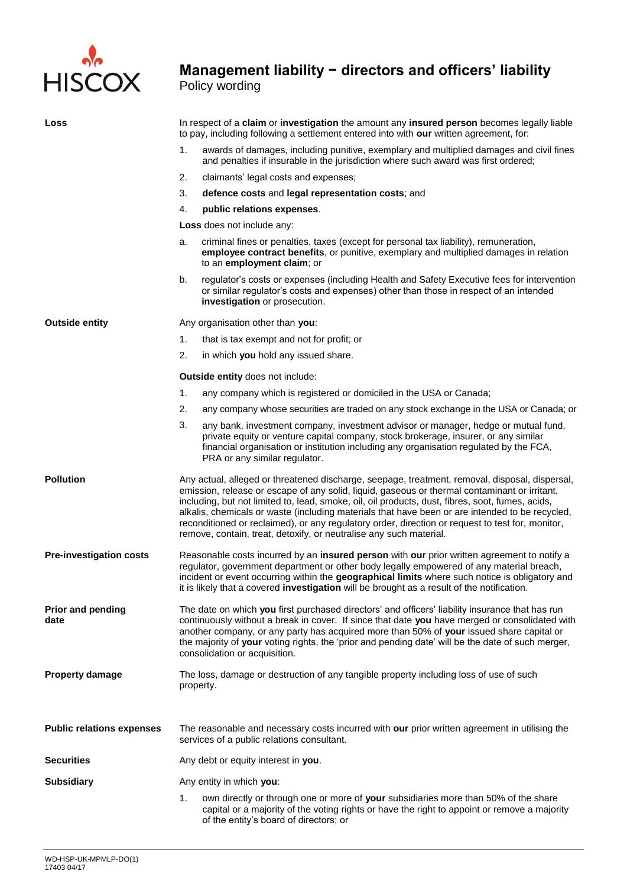

# **Management liability − directors and officers' liability**

Policy wording

| Loss                             | In respect of a claim or investigation the amount any insured person becomes legally liable<br>to pay, including following a settlement entered into with our written agreement, for: |                                                                                                                                                                                                                                                                                                                                                                                                                                                                                                                                                                                  |  |
|----------------------------------|---------------------------------------------------------------------------------------------------------------------------------------------------------------------------------------|----------------------------------------------------------------------------------------------------------------------------------------------------------------------------------------------------------------------------------------------------------------------------------------------------------------------------------------------------------------------------------------------------------------------------------------------------------------------------------------------------------------------------------------------------------------------------------|--|
|                                  | 1.                                                                                                                                                                                    | awards of damages, including punitive, exemplary and multiplied damages and civil fines<br>and penalties if insurable in the jurisdiction where such award was first ordered;                                                                                                                                                                                                                                                                                                                                                                                                    |  |
|                                  | 2.                                                                                                                                                                                    | claimants' legal costs and expenses;                                                                                                                                                                                                                                                                                                                                                                                                                                                                                                                                             |  |
|                                  | 3.                                                                                                                                                                                    | defence costs and legal representation costs; and                                                                                                                                                                                                                                                                                                                                                                                                                                                                                                                                |  |
|                                  | 4.                                                                                                                                                                                    | public relations expenses.                                                                                                                                                                                                                                                                                                                                                                                                                                                                                                                                                       |  |
|                                  |                                                                                                                                                                                       | Loss does not include any:                                                                                                                                                                                                                                                                                                                                                                                                                                                                                                                                                       |  |
|                                  | a.                                                                                                                                                                                    | criminal fines or penalties, taxes (except for personal tax liability), remuneration,<br>employee contract benefits, or punitive, exemplary and multiplied damages in relation<br>to an employment claim; or                                                                                                                                                                                                                                                                                                                                                                     |  |
|                                  | b.                                                                                                                                                                                    | regulator's costs or expenses (including Health and Safety Executive fees for intervention<br>or similar regulator's costs and expenses) other than those in respect of an intended<br>investigation or prosecution.                                                                                                                                                                                                                                                                                                                                                             |  |
| <b>Outside entity</b>            |                                                                                                                                                                                       | Any organisation other than you:                                                                                                                                                                                                                                                                                                                                                                                                                                                                                                                                                 |  |
|                                  | 1.                                                                                                                                                                                    | that is tax exempt and not for profit; or                                                                                                                                                                                                                                                                                                                                                                                                                                                                                                                                        |  |
|                                  | 2.                                                                                                                                                                                    | in which you hold any issued share.                                                                                                                                                                                                                                                                                                                                                                                                                                                                                                                                              |  |
|                                  |                                                                                                                                                                                       | Outside entity does not include:                                                                                                                                                                                                                                                                                                                                                                                                                                                                                                                                                 |  |
|                                  | 1.                                                                                                                                                                                    | any company which is registered or domiciled in the USA or Canada;                                                                                                                                                                                                                                                                                                                                                                                                                                                                                                               |  |
|                                  | 2.                                                                                                                                                                                    | any company whose securities are traded on any stock exchange in the USA or Canada; or                                                                                                                                                                                                                                                                                                                                                                                                                                                                                           |  |
|                                  | 3.                                                                                                                                                                                    | any bank, investment company, investment advisor or manager, hedge or mutual fund,<br>private equity or venture capital company, stock brokerage, insurer, or any similar<br>financial organisation or institution including any organisation regulated by the FCA,<br>PRA or any similar regulator.                                                                                                                                                                                                                                                                             |  |
| <b>Pollution</b>                 |                                                                                                                                                                                       | Any actual, alleged or threatened discharge, seepage, treatment, removal, disposal, dispersal,<br>emission, release or escape of any solid, liquid, gaseous or thermal contaminant or irritant,<br>including, but not limited to, lead, smoke, oil, oil products, dust, fibres, soot, fumes, acids,<br>alkalis, chemicals or waste (including materials that have been or are intended to be recycled,<br>reconditioned or reclaimed), or any regulatory order, direction or request to test for, monitor,<br>remove, contain, treat, detoxify, or neutralise any such material. |  |
| <b>Pre-investigation costs</b>   |                                                                                                                                                                                       | Reasonable costs incurred by an insured person with our prior written agreement to notify a<br>regulator, government department or other body legally empowered of any material breach,<br>incident or event occurring within the geographical limits where such notice is obligatory and<br>it is likely that a covered investigation will be brought as a result of the notification.                                                                                                                                                                                          |  |
| <b>Prior and pending</b><br>date |                                                                                                                                                                                       | The date on which you first purchased directors' and officers' liability insurance that has run<br>continuously without a break in cover. If since that date you have merged or consolidated with<br>another company, or any party has acquired more than 50% of your issued share capital or<br>the majority of your voting rights, the 'prior and pending date' will be the date of such merger,<br>consolidation or acquisition.                                                                                                                                              |  |
| <b>Property damage</b>           | property.                                                                                                                                                                             | The loss, damage or destruction of any tangible property including loss of use of such                                                                                                                                                                                                                                                                                                                                                                                                                                                                                           |  |
| <b>Public relations expenses</b> |                                                                                                                                                                                       | The reasonable and necessary costs incurred with our prior written agreement in utilising the<br>services of a public relations consultant.                                                                                                                                                                                                                                                                                                                                                                                                                                      |  |
| <b>Securities</b>                |                                                                                                                                                                                       | Any debt or equity interest in you.                                                                                                                                                                                                                                                                                                                                                                                                                                                                                                                                              |  |
| <b>Subsidiary</b>                |                                                                                                                                                                                       | Any entity in which you:                                                                                                                                                                                                                                                                                                                                                                                                                                                                                                                                                         |  |
|                                  | 1.                                                                                                                                                                                    | own directly or through one or more of your subsidiaries more than 50% of the share<br>capital or a majority of the voting rights or have the right to appoint or remove a majority<br>of the entity's board of directors; or                                                                                                                                                                                                                                                                                                                                                    |  |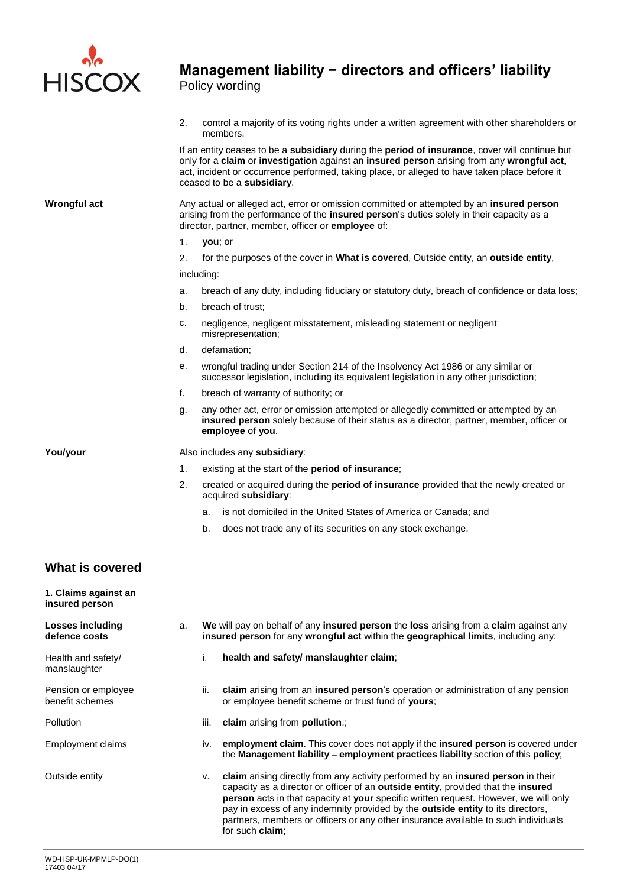

2. control a majority of its voting rights under a written agreement with other shareholders or members.

If an entity ceases to be a **subsidiary** during the **period of insurance**, cover will continue but only for a **claim** or **investigation** against an **insured person** arising from any **wrongful act**, act, incident or occurrence performed, taking place, or alleged to have taken place before it ceased to be a **subsidiary**.

**Wrongful act** Any actual or alleged act, error or omission committed or attempted by an **insured person** arising from the performance of the **insured person**'s duties solely in their capacity as a director, partner, member, officer or **employee** of:

1. **you**; or

2. for the purposes of the cover in **What is covered**, Outside entity, an **outside entity**, including:

- a. breach of any duty, including fiduciary or statutory duty, breach of confidence or data loss;
- b. breach of trust;
- c. negligence, negligent misstatement, misleading statement or negligent misrepresentation;
- d. defamation;
- e. wrongful trading under Section 214 of the Insolvency Act 1986 or any similar or successor legislation, including its equivalent legislation in any other jurisdiction;
- f. breach of warranty of authority; or
- g. any other act, error or omission attempted or allegedly committed or attempted by an **insured person** solely because of their status as a director, partner, member, officer or **employee** of **you**.

**You/your** Also includes any **subsidiary**:

- 1. existing at the start of the **period of insurance**;
- 2. created or acquired during the **period of insurance** provided that the newly created or acquired **subsidiary**:
	- a. is not domiciled in the United States of America or Canada; and
	- b. does not trade any of its securities on any stock exchange.

## **What is covered**

| 1. Claims against an<br>insured person |    |                                                                                                                                                                             |                                                                                                                                                                                                                                                                                                                                                                                                                                                                          |
|----------------------------------------|----|-----------------------------------------------------------------------------------------------------------------------------------------------------------------------------|--------------------------------------------------------------------------------------------------------------------------------------------------------------------------------------------------------------------------------------------------------------------------------------------------------------------------------------------------------------------------------------------------------------------------------------------------------------------------|
| Losses including<br>defence costs      | a. | We will pay on behalf of any insured person the loss arising from a claim against any<br>insured person for any wrongful act within the geographical limits, including any: |                                                                                                                                                                                                                                                                                                                                                                                                                                                                          |
| Health and safety/<br>manslaughter     |    | i.                                                                                                                                                                          | health and safety/ manslaughter claim;                                                                                                                                                                                                                                                                                                                                                                                                                                   |
| Pension or employee<br>benefit schemes |    | ii.                                                                                                                                                                         | claim arising from an insured person's operation or administration of any pension<br>or employee benefit scheme or trust fund of yours;                                                                                                                                                                                                                                                                                                                                  |
| Pollution                              |    | iii.                                                                                                                                                                        | claim arising from pollution.;                                                                                                                                                                                                                                                                                                                                                                                                                                           |
| Employment claims                      |    | iv.                                                                                                                                                                         | employment claim. This cover does not apply if the insured person is covered under<br>the Management liability – employment practices liability section of this policy;                                                                                                                                                                                                                                                                                                  |
| Outside entity                         |    | v.                                                                                                                                                                          | claim arising directly from any activity performed by an <b>insured person</b> in their<br>capacity as a director or officer of an outside entity, provided that the insured<br>person acts in that capacity at your specific written request. However, we will only<br>pay in excess of any indemnity provided by the outside entity to its directors,<br>partners, members or officers or any other insurance available to such individuals<br>for such <b>claim</b> ; |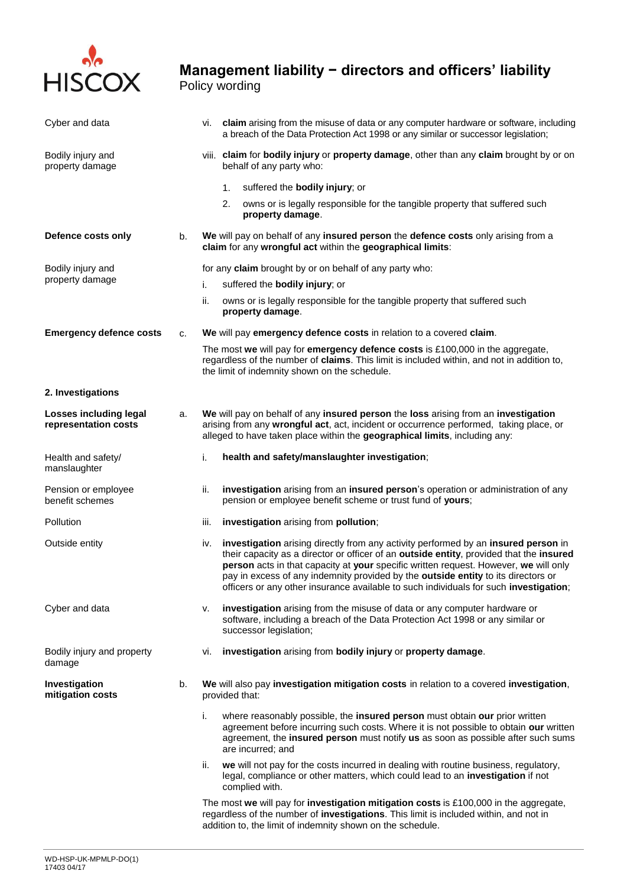

| Cyber and data                                        |    | vi. claim arising from the misuse of data or any computer hardware or software, including<br>a breach of the Data Protection Act 1998 or any similar or successor legislation;                                                                                                                                                                                                                                                                             |  |  |  |
|-------------------------------------------------------|----|------------------------------------------------------------------------------------------------------------------------------------------------------------------------------------------------------------------------------------------------------------------------------------------------------------------------------------------------------------------------------------------------------------------------------------------------------------|--|--|--|
| Bodily injury and<br>property damage                  |    | viii. claim for bodily injury or property damage, other than any claim brought by or on<br>behalf of any party who:                                                                                                                                                                                                                                                                                                                                        |  |  |  |
|                                                       |    | suffered the bodily injury; or<br>1.                                                                                                                                                                                                                                                                                                                                                                                                                       |  |  |  |
|                                                       |    | 2.<br>owns or is legally responsible for the tangible property that suffered such<br>property damage.                                                                                                                                                                                                                                                                                                                                                      |  |  |  |
| Defence costs only                                    | b. | We will pay on behalf of any insured person the defence costs only arising from a<br>claim for any wrongful act within the geographical limits:                                                                                                                                                                                                                                                                                                            |  |  |  |
| Bodily injury and                                     |    | for any claim brought by or on behalf of any party who:                                                                                                                                                                                                                                                                                                                                                                                                    |  |  |  |
| property damage                                       |    | suffered the <b>bodily injury</b> ; or<br>i.                                                                                                                                                                                                                                                                                                                                                                                                               |  |  |  |
|                                                       |    | ii.<br>owns or is legally responsible for the tangible property that suffered such<br>property damage.                                                                                                                                                                                                                                                                                                                                                     |  |  |  |
| <b>Emergency defence costs</b>                        | c. | We will pay emergency defence costs in relation to a covered claim.                                                                                                                                                                                                                                                                                                                                                                                        |  |  |  |
|                                                       |    | The most we will pay for emergency defence costs is £100,000 in the aggregate,<br>regardless of the number of claims. This limit is included within, and not in addition to,<br>the limit of indemnity shown on the schedule.                                                                                                                                                                                                                              |  |  |  |
| 2. Investigations                                     |    |                                                                                                                                                                                                                                                                                                                                                                                                                                                            |  |  |  |
| <b>Losses including legal</b><br>representation costs | a. | We will pay on behalf of any insured person the loss arising from an investigation<br>arising from any wrongful act, act, incident or occurrence performed, taking place, or<br>alleged to have taken place within the geographical limits, including any:                                                                                                                                                                                                 |  |  |  |
| Health and safety/<br>manslaughter                    |    | health and safety/manslaughter investigation;<br>i.                                                                                                                                                                                                                                                                                                                                                                                                        |  |  |  |
| Pension or employee<br>benefit schemes                |    | investigation arising from an insured person's operation or administration of any<br>ii.<br>pension or employee benefit scheme or trust fund of yours;                                                                                                                                                                                                                                                                                                     |  |  |  |
| Pollution                                             |    | investigation arising from pollution;<br>iii.                                                                                                                                                                                                                                                                                                                                                                                                              |  |  |  |
| Outside entity                                        |    | investigation arising directly from any activity performed by an insured person in<br>iv.<br>their capacity as a director or officer of an outside entity, provided that the insured<br>person acts in that capacity at your specific written request. However, we will only<br>pay in excess of any indemnity provided by the outside entity to its directors or<br>officers or any other insurance available to such individuals for such investigation; |  |  |  |
| Cyber and data                                        |    | investigation arising from the misuse of data or any computer hardware or<br>ν.<br>software, including a breach of the Data Protection Act 1998 or any similar or<br>successor legislation;                                                                                                                                                                                                                                                                |  |  |  |
| Bodily injury and property<br>damage                  |    | investigation arising from bodily injury or property damage.<br>vi.                                                                                                                                                                                                                                                                                                                                                                                        |  |  |  |
| Investigation<br>mitigation costs                     | b. | We will also pay investigation mitigation costs in relation to a covered investigation,<br>provided that:                                                                                                                                                                                                                                                                                                                                                  |  |  |  |
|                                                       |    | where reasonably possible, the insured person must obtain our prior written<br>i.<br>agreement before incurring such costs. Where it is not possible to obtain our written<br>agreement, the insured person must notify us as soon as possible after such sums<br>are incurred; and                                                                                                                                                                        |  |  |  |
|                                                       |    | we will not pay for the costs incurred in dealing with routine business, regulatory,<br>ii.<br>legal, compliance or other matters, which could lead to an investigation if not<br>complied with.                                                                                                                                                                                                                                                           |  |  |  |
|                                                       |    | The most we will pay for investigation mitigation costs is £100,000 in the aggregate,<br>regardless of the number of investigations. This limit is included within, and not in<br>addition to, the limit of indemnity shown on the schedule.                                                                                                                                                                                                               |  |  |  |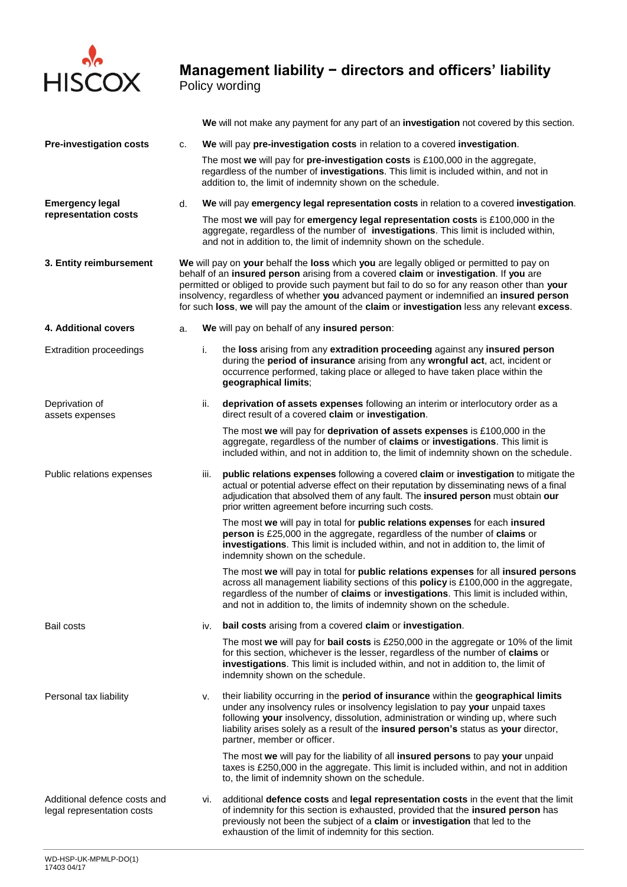

**We** will not make any payment for any part of an **investigation** not covered by this section.

| <b>Pre-investigation costs</b>                             | c. | We will pay pre-investigation costs in relation to a covered investigation.                                                                                                                                                                                                                                                                                                                                                                                                    |                                                                                                                                                                                                                                                                                                                                                                                 |  |  |
|------------------------------------------------------------|----|--------------------------------------------------------------------------------------------------------------------------------------------------------------------------------------------------------------------------------------------------------------------------------------------------------------------------------------------------------------------------------------------------------------------------------------------------------------------------------|---------------------------------------------------------------------------------------------------------------------------------------------------------------------------------------------------------------------------------------------------------------------------------------------------------------------------------------------------------------------------------|--|--|
|                                                            |    | The most we will pay for pre-investigation costs is £100,000 in the aggregate,<br>regardless of the number of investigations. This limit is included within, and not in<br>addition to, the limit of indemnity shown on the schedule.                                                                                                                                                                                                                                          |                                                                                                                                                                                                                                                                                                                                                                                 |  |  |
| <b>Emergency legal</b>                                     | d. | We will pay emergency legal representation costs in relation to a covered investigation.                                                                                                                                                                                                                                                                                                                                                                                       |                                                                                                                                                                                                                                                                                                                                                                                 |  |  |
| representation costs                                       |    | The most we will pay for emergency legal representation costs is £100,000 in the<br>aggregate, regardless of the number of <b>investigations</b> . This limit is included within,<br>and not in addition to, the limit of indemnity shown on the schedule.                                                                                                                                                                                                                     |                                                                                                                                                                                                                                                                                                                                                                                 |  |  |
| 3. Entity reimbursement                                    |    | We will pay on your behalf the loss which you are legally obliged or permitted to pay on<br>behalf of an insured person arising from a covered claim or investigation. If you are<br>permitted or obliged to provide such payment but fail to do so for any reason other than your<br>insolvency, regardless of whether you advanced payment or indemnified an insured person<br>for such loss, we will pay the amount of the claim or investigation less any relevant excess. |                                                                                                                                                                                                                                                                                                                                                                                 |  |  |
| 4. Additional covers                                       | a. | We will pay on behalf of any insured person:                                                                                                                                                                                                                                                                                                                                                                                                                                   |                                                                                                                                                                                                                                                                                                                                                                                 |  |  |
| <b>Extradition proceedings</b>                             |    | i.                                                                                                                                                                                                                                                                                                                                                                                                                                                                             | the loss arising from any extradition proceeding against any insured person<br>during the period of insurance arising from any wrongful act, act, incident or<br>occurrence performed, taking place or alleged to have taken place within the<br>geographical limits;                                                                                                           |  |  |
| Deprivation of<br>assets expenses                          |    | ii.                                                                                                                                                                                                                                                                                                                                                                                                                                                                            | deprivation of assets expenses following an interim or interlocutory order as a<br>direct result of a covered claim or investigation.                                                                                                                                                                                                                                           |  |  |
|                                                            |    |                                                                                                                                                                                                                                                                                                                                                                                                                                                                                | The most we will pay for deprivation of assets expenses is £100,000 in the<br>aggregate, regardless of the number of claims or investigations. This limit is<br>included within, and not in addition to, the limit of indemnity shown on the schedule.                                                                                                                          |  |  |
| Public relations expenses                                  |    | iii.                                                                                                                                                                                                                                                                                                                                                                                                                                                                           | public relations expenses following a covered claim or investigation to mitigate the<br>actual or potential adverse effect on their reputation by disseminating news of a final<br>adjudication that absolved them of any fault. The insured person must obtain our<br>prior written agreement before incurring such costs.                                                     |  |  |
|                                                            |    |                                                                                                                                                                                                                                                                                                                                                                                                                                                                                | The most we will pay in total for public relations expenses for each insured<br>person is £25,000 in the aggregate, regardless of the number of claims or<br>investigations. This limit is included within, and not in addition to, the limit of<br>indemnity shown on the schedule.                                                                                            |  |  |
|                                                            |    |                                                                                                                                                                                                                                                                                                                                                                                                                                                                                | The most we will pay in total for public relations expenses for all insured persons<br>across all management liability sections of this policy is £100,000 in the aggregate,<br>regardless of the number of claims or investigations. This limit is included within,<br>and not in addition to, the limits of indemnity shown on the schedule.                                  |  |  |
| Bail costs                                                 |    | iv.                                                                                                                                                                                                                                                                                                                                                                                                                                                                            | bail costs arising from a covered claim or investigation.                                                                                                                                                                                                                                                                                                                       |  |  |
|                                                            |    |                                                                                                                                                                                                                                                                                                                                                                                                                                                                                | The most we will pay for bail costs is £250,000 in the aggregate or 10% of the limit<br>for this section, whichever is the lesser, regardless of the number of claims or<br>investigations. This limit is included within, and not in addition to, the limit of<br>indemnity shown on the schedule.                                                                             |  |  |
| Personal tax liability                                     |    | ν.                                                                                                                                                                                                                                                                                                                                                                                                                                                                             | their liability occurring in the period of insurance within the geographical limits<br>under any insolvency rules or insolvency legislation to pay your unpaid taxes<br>following your insolvency, dissolution, administration or winding up, where such<br>liability arises solely as a result of the insured person's status as your director,<br>partner, member or officer. |  |  |
|                                                            |    |                                                                                                                                                                                                                                                                                                                                                                                                                                                                                | The most we will pay for the liability of all insured persons to pay your unpaid<br>taxes is £250,000 in the aggregate. This limit is included within, and not in addition<br>to, the limit of indemnity shown on the schedule.                                                                                                                                                 |  |  |
| Additional defence costs and<br>legal representation costs |    | additional defence costs and legal representation costs in the event that the limit<br>vi.<br>of indemnity for this section is exhausted, provided that the insured person has<br>previously not been the subject of a claim or investigation that led to the<br>exhaustion of the limit of indemnity for this section.                                                                                                                                                        |                                                                                                                                                                                                                                                                                                                                                                                 |  |  |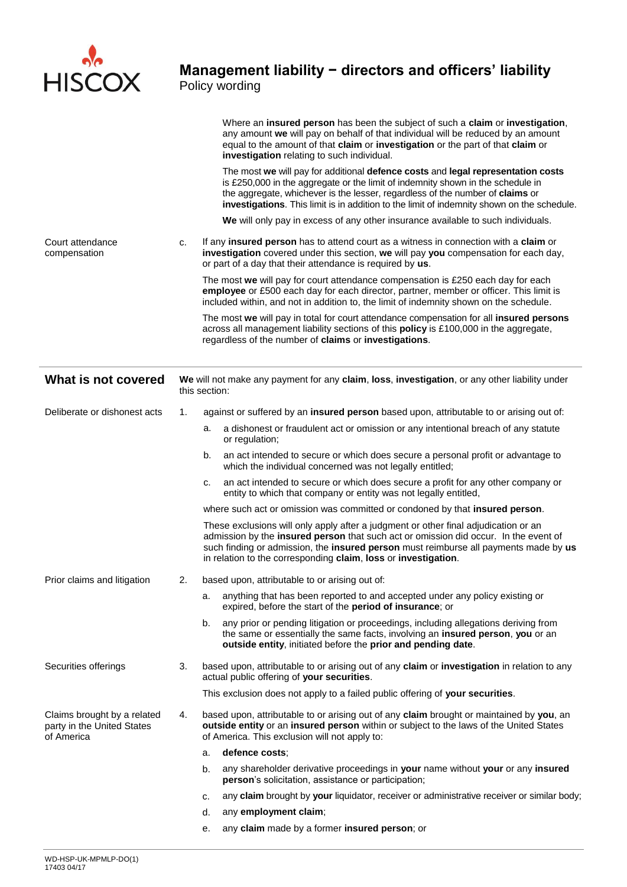

Policy wording

|                                                                         |    | Where an insured person has been the subject of such a claim or investigation,<br>any amount we will pay on behalf of that individual will be reduced by an amount<br>equal to the amount of that claim or investigation or the part of that claim or<br>investigation relating to such individual.                                                |
|-------------------------------------------------------------------------|----|----------------------------------------------------------------------------------------------------------------------------------------------------------------------------------------------------------------------------------------------------------------------------------------------------------------------------------------------------|
|                                                                         |    | The most we will pay for additional defence costs and legal representation costs<br>is £250,000 in the aggregate or the limit of indemnity shown in the schedule in<br>the aggregate, whichever is the lesser, regardless of the number of claims or<br>investigations. This limit is in addition to the limit of indemnity shown on the schedule. |
|                                                                         |    | We will only pay in excess of any other insurance available to such individuals.                                                                                                                                                                                                                                                                   |
| Court attendance<br>compensation                                        | c. | If any insured person has to attend court as a witness in connection with a claim or<br>investigation covered under this section, we will pay you compensation for each day,<br>or part of a day that their attendance is required by us.                                                                                                          |
|                                                                         |    | The most we will pay for court attendance compensation is £250 each day for each<br>employee or £500 each day for each director, partner, member or officer. This limit is<br>included within, and not in addition to, the limit of indemnity shown on the schedule.                                                                               |
|                                                                         |    | The most we will pay in total for court attendance compensation for all insured persons<br>across all management liability sections of this policy is £100,000 in the aggregate,<br>regardless of the number of claims or investigations.                                                                                                          |
| What is not covered                                                     |    | We will not make any payment for any claim, loss, investigation, or any other liability under<br>this section:                                                                                                                                                                                                                                     |
| Deliberate or dishonest acts                                            | 1. | against or suffered by an insured person based upon, attributable to or arising out of:                                                                                                                                                                                                                                                            |
|                                                                         |    | a dishonest or fraudulent act or omission or any intentional breach of any statute<br>a.<br>or regulation;                                                                                                                                                                                                                                         |
|                                                                         |    | an act intended to secure or which does secure a personal profit or advantage to<br>b.<br>which the individual concerned was not legally entitled;                                                                                                                                                                                                 |
|                                                                         |    | an act intended to secure or which does secure a profit for any other company or<br>c.<br>entity to which that company or entity was not legally entitled,                                                                                                                                                                                         |
|                                                                         |    | where such act or omission was committed or condoned by that insured person.                                                                                                                                                                                                                                                                       |
|                                                                         |    | These exclusions will only apply after a judgment or other final adjudication or an<br>admission by the insured person that such act or omission did occur. In the event of<br>such finding or admission, the insured person must reimburse all payments made by us<br>in relation to the corresponding claim, loss or investigation.              |
| Prior claims and litigation                                             | 2. | based upon, attributable to or arising out of:                                                                                                                                                                                                                                                                                                     |
|                                                                         |    | anything that has been reported to and accepted under any policy existing or<br>a.<br>expired, before the start of the <b>period of insurance</b> ; or                                                                                                                                                                                             |
|                                                                         |    | any prior or pending litigation or proceedings, including allegations deriving from<br>b.<br>the same or essentially the same facts, involving an insured person, you or an<br>outside entity, initiated before the prior and pending date.                                                                                                        |
| Securities offerings                                                    | 3. | based upon, attributable to or arising out of any claim or investigation in relation to any<br>actual public offering of your securities.                                                                                                                                                                                                          |
|                                                                         |    | This exclusion does not apply to a failed public offering of your securities.                                                                                                                                                                                                                                                                      |
| Claims brought by a related<br>party in the United States<br>of America | 4. | based upon, attributable to or arising out of any claim brought or maintained by you, an<br>outside entity or an insured person within or subject to the laws of the United States<br>of America. This exclusion will not apply to:                                                                                                                |
|                                                                         |    | defence costs;<br>a.                                                                                                                                                                                                                                                                                                                               |
|                                                                         |    | any shareholder derivative proceedings in your name without your or any insured<br>b.<br>person's solicitation, assistance or participation;                                                                                                                                                                                                       |
|                                                                         |    | any claim brought by your liquidator, receiver or administrative receiver or similar body<br>c.                                                                                                                                                                                                                                                    |
|                                                                         |    | any employment claim;<br>d.                                                                                                                                                                                                                                                                                                                        |
|                                                                         |    | any claim made by a former insured person; or<br>е.                                                                                                                                                                                                                                                                                                |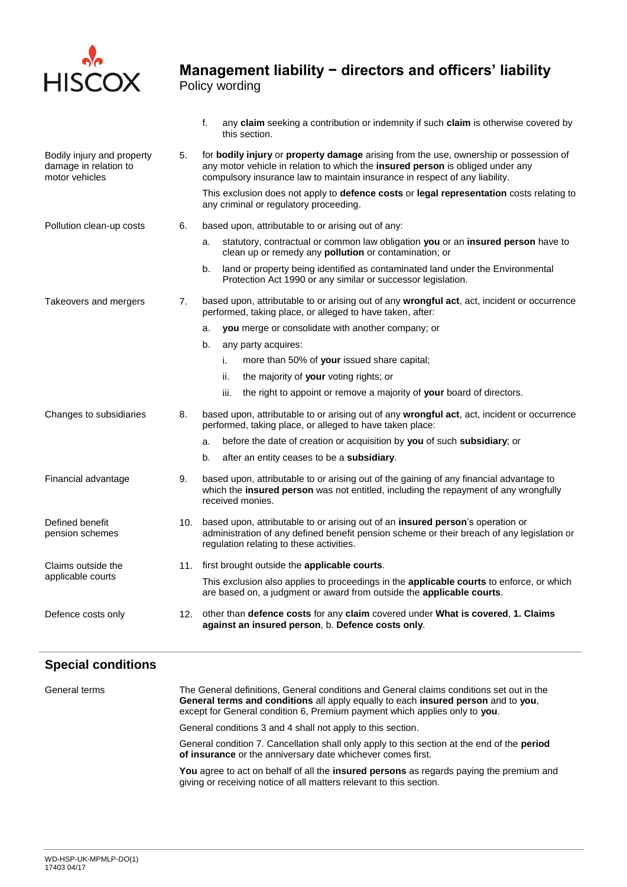

|                                                                       |     | any claim seeking a contribution or indemnity if such claim is otherwise covered by<br>f.<br>this section.                                                                                                                                             |  |  |  |
|-----------------------------------------------------------------------|-----|--------------------------------------------------------------------------------------------------------------------------------------------------------------------------------------------------------------------------------------------------------|--|--|--|
| Bodily injury and property<br>damage in relation to<br>motor vehicles | 5.  | for bodily injury or property damage arising from the use, ownership or possession of<br>any motor vehicle in relation to which the insured person is obliged under any<br>compulsory insurance law to maintain insurance in respect of any liability. |  |  |  |
|                                                                       |     | This exclusion does not apply to defence costs or legal representation costs relating to<br>any criminal or regulatory proceeding.                                                                                                                     |  |  |  |
| Pollution clean-up costs                                              | 6.  | based upon, attributable to or arising out of any:                                                                                                                                                                                                     |  |  |  |
|                                                                       |     | statutory, contractual or common law obligation you or an insured person have to<br>a.<br>clean up or remedy any <b>pollution</b> or contamination; or                                                                                                 |  |  |  |
|                                                                       |     | land or property being identified as contaminated land under the Environmental<br>b.<br>Protection Act 1990 or any similar or successor legislation.                                                                                                   |  |  |  |
| Takeovers and mergers                                                 | 7.  | based upon, attributable to or arising out of any wrongful act, act, incident or occurrence<br>performed, taking place, or alleged to have taken, after:                                                                                               |  |  |  |
|                                                                       |     | you merge or consolidate with another company; or<br>a.                                                                                                                                                                                                |  |  |  |
|                                                                       |     | b.<br>any party acquires:                                                                                                                                                                                                                              |  |  |  |
|                                                                       |     | more than 50% of your issued share capital;<br>i.                                                                                                                                                                                                      |  |  |  |
|                                                                       |     | the majority of your voting rights; or<br>ii.                                                                                                                                                                                                          |  |  |  |
|                                                                       |     | iii.<br>the right to appoint or remove a majority of your board of directors.                                                                                                                                                                          |  |  |  |
| Changes to subsidiaries                                               | 8.  | based upon, attributable to or arising out of any wrongful act, act, incident or occurrence<br>performed, taking place, or alleged to have taken place:                                                                                                |  |  |  |
|                                                                       |     | before the date of creation or acquisition by you of such subsidiary; or<br>a.                                                                                                                                                                         |  |  |  |
|                                                                       |     | after an entity ceases to be a subsidiary.<br>b.                                                                                                                                                                                                       |  |  |  |
| Financial advantage                                                   | 9.  | based upon, attributable to or arising out of the gaining of any financial advantage to<br>which the insured person was not entitled, including the repayment of any wrongfully<br>received monies.                                                    |  |  |  |
| Defined benefit<br>pension schemes                                    | 10. | based upon, attributable to or arising out of an insured person's operation or<br>administration of any defined benefit pension scheme or their breach of any legislation or<br>regulation relating to these activities.                               |  |  |  |
| Claims outside the                                                    | 11. | first brought outside the applicable courts.                                                                                                                                                                                                           |  |  |  |
| applicable courts                                                     |     | This exclusion also applies to proceedings in the applicable courts to enforce, or which<br>are based on, a judgment or award from outside the applicable courts.                                                                                      |  |  |  |

#### Defence costs only 12. other than **defence costs** for any **claim** covered under **What is covered**, **1. Claims against an insured person**, b. **Defence costs only**.

## **Special conditions**

| General terms | The General definitions, General conditions and General claims conditions set out in the<br>General terms and conditions all apply equally to each insured person and to you,<br>except for General condition 6, Premium payment which applies only to you. |
|---------------|-------------------------------------------------------------------------------------------------------------------------------------------------------------------------------------------------------------------------------------------------------------|
|               | General conditions 3 and 4 shall not apply to this section.                                                                                                                                                                                                 |
|               | General condition 7. Cancellation shall only apply to this section at the end of the <b>period</b><br>of insurance or the anniversary date whichever comes first.                                                                                           |
|               | You agree to act on behalf of all the <b>insured persons</b> as regards paying the premium and<br>giving or receiving notice of all matters relevant to this section.                                                                                       |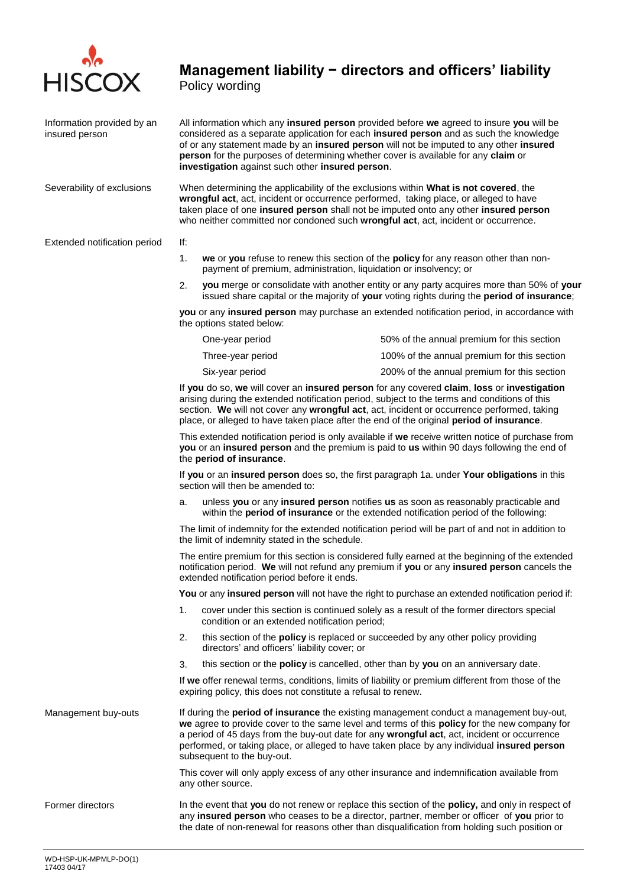

# **Management liability − directors and officers' liability**

Policy wording

| Information provided by an<br>insured person | All information which any insured person provided before we agreed to insure you will be<br>considered as a separate application for each insured person and as such the knowledge<br>of or any statement made by an insured person will not be imputed to any other insured<br>person for the purposes of determining whether cover is available for any claim or<br>investigation against such other insured person.     |                                                                                                                                                          |                                                                                                                                                                                        |  |  |  |  |
|----------------------------------------------|----------------------------------------------------------------------------------------------------------------------------------------------------------------------------------------------------------------------------------------------------------------------------------------------------------------------------------------------------------------------------------------------------------------------------|----------------------------------------------------------------------------------------------------------------------------------------------------------|----------------------------------------------------------------------------------------------------------------------------------------------------------------------------------------|--|--|--|--|
| Severability of exclusions                   | When determining the applicability of the exclusions within What is not covered, the<br>wrongful act, act, incident or occurrence performed, taking place, or alleged to have<br>taken place of one insured person shall not be imputed onto any other insured person<br>who neither committed nor condoned such wrongful act, act, incident or occurrence.                                                                |                                                                                                                                                          |                                                                                                                                                                                        |  |  |  |  |
| Extended notification period                 | lf:                                                                                                                                                                                                                                                                                                                                                                                                                        |                                                                                                                                                          |                                                                                                                                                                                        |  |  |  |  |
|                                              | 1.                                                                                                                                                                                                                                                                                                                                                                                                                         | we or you refuse to renew this section of the policy for any reason other than non-<br>payment of premium, administration, liquidation or insolvency; or |                                                                                                                                                                                        |  |  |  |  |
|                                              | 2.                                                                                                                                                                                                                                                                                                                                                                                                                         |                                                                                                                                                          | you merge or consolidate with another entity or any party acquires more than 50% of your<br>issued share capital or the majority of your voting rights during the period of insurance; |  |  |  |  |
|                                              | you or any insured person may purchase an extended notification period, in accordance with<br>the options stated below:                                                                                                                                                                                                                                                                                                    |                                                                                                                                                          |                                                                                                                                                                                        |  |  |  |  |
|                                              |                                                                                                                                                                                                                                                                                                                                                                                                                            | One-year period                                                                                                                                          | 50% of the annual premium for this section                                                                                                                                             |  |  |  |  |
|                                              |                                                                                                                                                                                                                                                                                                                                                                                                                            | Three-year period                                                                                                                                        | 100% of the annual premium for this section                                                                                                                                            |  |  |  |  |
|                                              |                                                                                                                                                                                                                                                                                                                                                                                                                            | Six-year period                                                                                                                                          | 200% of the annual premium for this section                                                                                                                                            |  |  |  |  |
|                                              | If you do so, we will cover an insured person for any covered claim, loss or investigation<br>arising during the extended notification period, subject to the terms and conditions of this<br>section. We will not cover any wrongful act, act, incident or occurrence performed, taking<br>place, or alleged to have taken place after the end of the original period of insurance.                                       |                                                                                                                                                          |                                                                                                                                                                                        |  |  |  |  |
|                                              | This extended notification period is only available if we receive written notice of purchase from<br>you or an insured person and the premium is paid to us within 90 days following the end of<br>the period of insurance.                                                                                                                                                                                                |                                                                                                                                                          |                                                                                                                                                                                        |  |  |  |  |
|                                              | If you or an insured person does so, the first paragraph 1a. under Your obligations in this<br>section will then be amended to:                                                                                                                                                                                                                                                                                            |                                                                                                                                                          |                                                                                                                                                                                        |  |  |  |  |
|                                              | unless you or any insured person notifies us as soon as reasonably practicable and<br>a.<br>within the period of insurance or the extended notification period of the following:                                                                                                                                                                                                                                           |                                                                                                                                                          |                                                                                                                                                                                        |  |  |  |  |
|                                              | The limit of indemnity for the extended notification period will be part of and not in addition to<br>the limit of indemnity stated in the schedule.                                                                                                                                                                                                                                                                       |                                                                                                                                                          |                                                                                                                                                                                        |  |  |  |  |
|                                              | The entire premium for this section is considered fully earned at the beginning of the extended<br>notification period. We will not refund any premium if you or any insured person cancels the<br>extended notification period before it ends.                                                                                                                                                                            |                                                                                                                                                          |                                                                                                                                                                                        |  |  |  |  |
|                                              |                                                                                                                                                                                                                                                                                                                                                                                                                            |                                                                                                                                                          | You or any insured person will not have the right to purchase an extended notification period if:                                                                                      |  |  |  |  |
|                                              | 1.                                                                                                                                                                                                                                                                                                                                                                                                                         | condition or an extended notification period;                                                                                                            | cover under this section is continued solely as a result of the former directors special                                                                                               |  |  |  |  |
|                                              | 2.                                                                                                                                                                                                                                                                                                                                                                                                                         | this section of the <b>policy</b> is replaced or succeeded by any other policy providing<br>directors' and officers' liability cover; or                 |                                                                                                                                                                                        |  |  |  |  |
|                                              | 3.                                                                                                                                                                                                                                                                                                                                                                                                                         | this section or the <b>policy</b> is cancelled, other than by you on an anniversary date.                                                                |                                                                                                                                                                                        |  |  |  |  |
|                                              | If we offer renewal terms, conditions, limits of liability or premium different from those of the<br>expiring policy, this does not constitute a refusal to renew.                                                                                                                                                                                                                                                         |                                                                                                                                                          |                                                                                                                                                                                        |  |  |  |  |
| Management buy-outs                          | If during the <b>period of insurance</b> the existing management conduct a management buy-out,<br>we agree to provide cover to the same level and terms of this policy for the new company for<br>a period of 45 days from the buy-out date for any wrongful act, act, incident or occurrence<br>performed, or taking place, or alleged to have taken place by any individual insured person<br>subsequent to the buy-out. |                                                                                                                                                          |                                                                                                                                                                                        |  |  |  |  |
|                                              | This cover will only apply excess of any other insurance and indemnification available from<br>any other source.                                                                                                                                                                                                                                                                                                           |                                                                                                                                                          |                                                                                                                                                                                        |  |  |  |  |
| Former directors                             | In the event that you do not renew or replace this section of the policy, and only in respect of<br>any insured person who ceases to be a director, partner, member or officer of you prior to<br>the date of non-renewal for reasons other than disqualification from holding such position or                                                                                                                            |                                                                                                                                                          |                                                                                                                                                                                        |  |  |  |  |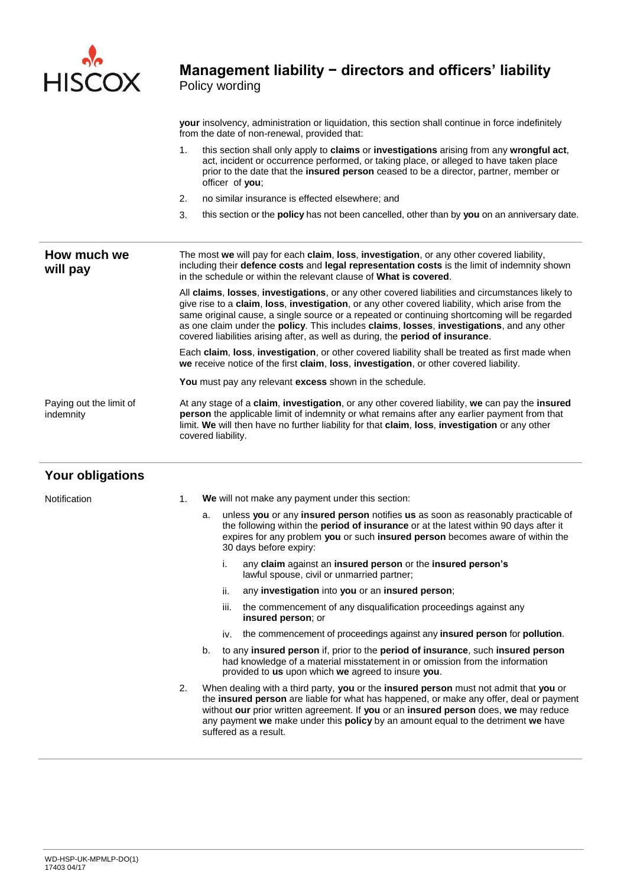

**your** insolvency, administration or liquidation, this section shall continue in force indefinitely from the date of non-renewal, provided that:

- 1. this section shall only apply to **claims** or **investigations** arising from any **wrongful act**, act, incident or occurrence performed, or taking place, or alleged to have taken place prior to the date that the **insured person** ceased to be a director, partner, member or officer of **you**;
- 2. no similar insurance is effected elsewhere; and
- 3. this section or the **policy** has not been cancelled, other than by **you** on an anniversary date.

**How much we will pay** The most **we** will pay for each **claim**, **loss**, **investigation**, or any other covered liability, including their **defence costs** and **legal representation costs** is the limit of indemnity shown in the schedule or within the relevant clause of **What is covered**. All **claims**, **losses**, **investigations**, or any other covered liabilities and circumstances likely to give rise to a **claim**, **loss**, **investigation**, or any other covered liability, which arise from the same original cause, a single source or a repeated or continuing shortcoming will be regarded as one claim under the **policy**. This includes **claims**, **losses**, **investigations**, and any other covered liabilities arising after, as well as during, the **period of insurance**. Each **claim**, **loss**, **investigation**, or other covered liability shall be treated as first made when **we** receive notice of the first **claim**, **loss**, **investigation**, or other covered liability. **You** must pay any relevant **excess** shown in the schedule. Paying out the limit of indemnity At any stage of a **claim**, **investigation**, or any other covered liability, **we** can pay the **insured person** the applicable limit of indemnity or what remains after any earlier payment from that limit. **We** will then have no further liability for that **claim**, **loss**, **investigation** or any other covered liability.

### **Your obligations** Notification 1. **We** will not make any payment under this section: a. unless **you** or any **insured person** notifies **us** as soon as reasonably practicable of the following within the **period of insurance** or at the latest within 90 days after it expires for any problem **you** or such **insured person** becomes aware of within the 30 days before expiry: i. any **claim** against an **insured person** or the **insured person's** lawful spouse, civil or unmarried partner; ii. any **investigation** into **you** or an **insured person**; iii. the commencement of any disqualification proceedings against any **insured person**; or iv. the commencement of proceedings against any **insured person** for **pollution**. b. to any **insured person** if, prior to the **period of insurance**, such **insured person** had knowledge of a material misstatement in or omission from the information provided to **us** upon which **we** agreed to insure **you**. 2. When dealing with a third party, **you** or the **insured person** must not admit that **you** or the **insured person** are liable for what has happened, or make any offer, deal or payment without **our** prior written agreement. If **you** or an **insured person** does, **we** may reduce any payment **we** make under this **policy** by an amount equal to the detriment **we** have suffered as a result.